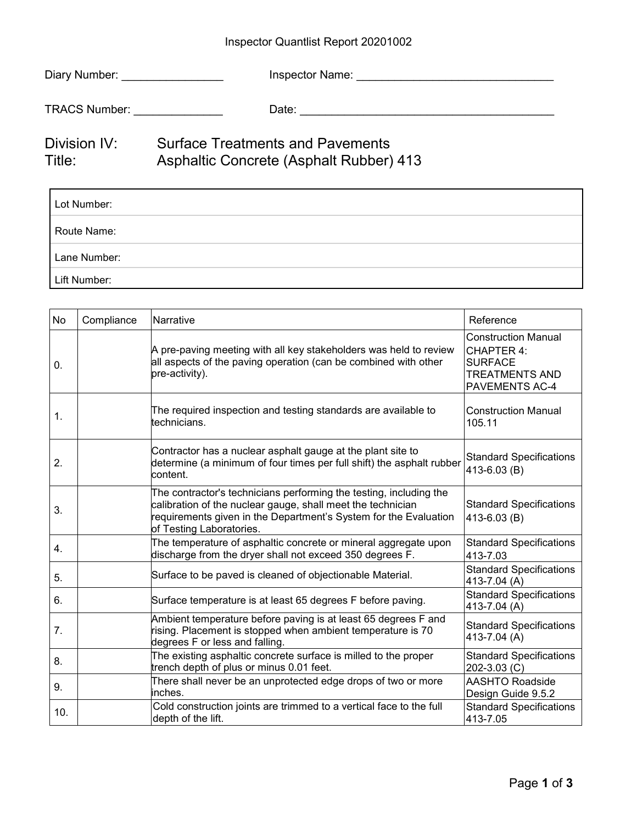## Inspector Quantlist Report 20201002

| Diary Number: New York 1999 | Inspector Name:                                                                           |
|-----------------------------|-------------------------------------------------------------------------------------------|
| TRACS Number: TRACS Number: |                                                                                           |
| Division IV:<br>Title:      | <b>Surface Treatments and Pavements</b><br><b>Asphaltic Concrete (Asphalt Rubber) 413</b> |

| Lot Number:  |
|--------------|
| Route Name:  |
| Lane Number: |
| Lift Number: |

| <b>No</b>       | Compliance | Narrative                                                                                                                                                                                                                         | Reference                                                                                             |
|-----------------|------------|-----------------------------------------------------------------------------------------------------------------------------------------------------------------------------------------------------------------------------------|-------------------------------------------------------------------------------------------------------|
| 0.              |            | A pre-paving meeting with all key stakeholders was held to review<br>all aspects of the paving operation (can be combined with other<br>pre-activity).                                                                            | <b>Construction Manual</b><br>CHAPTER 4:<br><b>SURFACE</b><br><b>TREATMENTS AND</b><br>PAVEMENTS AC-4 |
| 1.              |            | The required inspection and testing standards are available to<br>technicians.                                                                                                                                                    | <b>Construction Manual</b><br>105.11                                                                  |
| 2.              |            | Contractor has a nuclear asphalt gauge at the plant site to<br>determine (a minimum of four times per full shift) the asphalt rubber<br>content.                                                                                  | <b>Standard Specifications</b><br>413-6.03 (B)                                                        |
| 3.              |            | The contractor's technicians performing the testing, including the<br>calibration of the nuclear gauge, shall meet the technician<br>requirements given in the Department's System for the Evaluation<br>of Testing Laboratories. | <b>Standard Specifications</b><br>413-6.03 (B)                                                        |
| 4.              |            | The temperature of asphaltic concrete or mineral aggregate upon<br>discharge from the dryer shall not exceed 350 degrees F.                                                                                                       | <b>Standard Specifications</b><br>413-7.03                                                            |
| 5.              |            | Surface to be paved is cleaned of objectionable Material.                                                                                                                                                                         | <b>Standard Specifications</b><br>413-7.04 (A)                                                        |
| 6.              |            | Surface temperature is at least 65 degrees F before paving.                                                                                                                                                                       | <b>Standard Specifications</b><br>413-7.04 (A)                                                        |
| 7.              |            | Ambient temperature before paving is at least 65 degrees F and<br>rising. Placement is stopped when ambient temperature is 70<br>degrees F or less and falling.                                                                   | <b>Standard Specifications</b><br>413-7.04 (A)                                                        |
| 8.              |            | The existing asphaltic concrete surface is milled to the proper<br>trench depth of plus or minus 0.01 feet.                                                                                                                       | <b>Standard Specifications</b><br>202-3.03 (C)                                                        |
| 9.              |            | There shall never be an unprotected edge drops of two or more<br>inches.                                                                                                                                                          | <b>AASHTO Roadside</b><br>Design Guide 9.5.2                                                          |
| 10 <sub>1</sub> |            | Cold construction joints are trimmed to a vertical face to the full<br>depth of the lift.                                                                                                                                         | <b>Standard Specifications</b><br>413-7.05                                                            |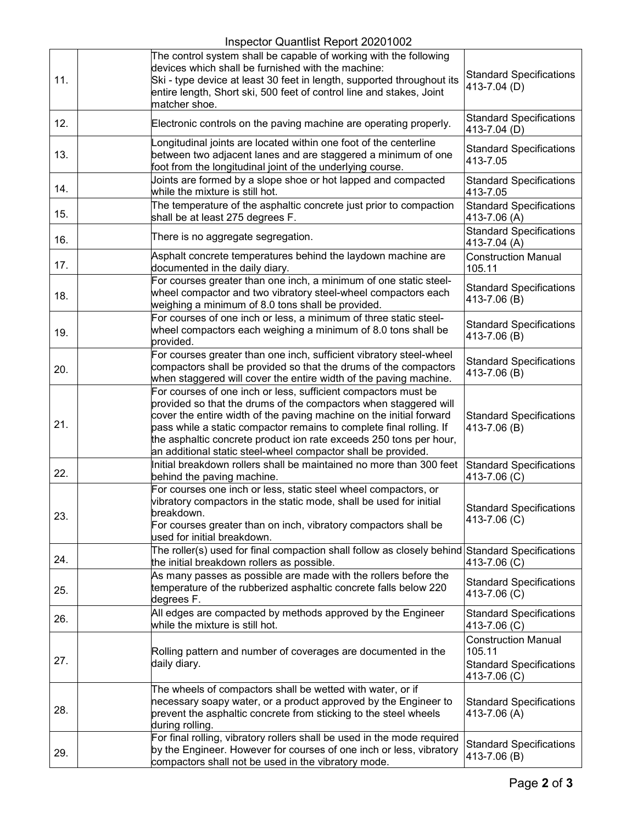## Inspector Quantlist Report 20201002

| 11. | The control system shall be capable of working with the following<br>devices which shall be furnished with the machine:<br>Ski - type device at least 30 feet in length, supported throughout its<br>entire length, Short ski, 500 feet of control line and stakes, Joint<br>matcher shoe.                                                                                                                              | <b>Standard Specifications</b><br>413-7.04 (D)                                         |
|-----|-------------------------------------------------------------------------------------------------------------------------------------------------------------------------------------------------------------------------------------------------------------------------------------------------------------------------------------------------------------------------------------------------------------------------|----------------------------------------------------------------------------------------|
| 12. | Electronic controls on the paving machine are operating properly.                                                                                                                                                                                                                                                                                                                                                       | <b>Standard Specifications</b><br>413-7.04 (D)                                         |
| 13. | ongitudinal joints are located within one foot of the centerline<br>between two adjacent lanes and are staggered a minimum of one<br>foot from the longitudinal joint of the underlying course.                                                                                                                                                                                                                         | <b>Standard Specifications</b><br>413-7.05                                             |
| 14. | Joints are formed by a slope shoe or hot lapped and compacted<br>while the mixture is still hot.                                                                                                                                                                                                                                                                                                                        | <b>Standard Specifications</b><br>413-7.05                                             |
| 15. | The temperature of the asphaltic concrete just prior to compaction<br>shall be at least 275 degrees F.                                                                                                                                                                                                                                                                                                                  | <b>Standard Specifications</b><br>413-7.06 (A)                                         |
| 16. | There is no aggregate segregation.                                                                                                                                                                                                                                                                                                                                                                                      | <b>Standard Specifications</b><br>413-7.04 (A)                                         |
| 17. | Asphalt concrete temperatures behind the laydown machine are<br>documented in the daily diary.                                                                                                                                                                                                                                                                                                                          | <b>Construction Manual</b><br>105.11                                                   |
| 18. | For courses greater than one inch, a minimum of one static steel-<br>wheel compactor and two vibratory steel-wheel compactors each<br>weighing a minimum of 8.0 tons shall be provided.                                                                                                                                                                                                                                 | <b>Standard Specifications</b><br>413-7.06 (B)                                         |
| 19. | For courses of one inch or less, a minimum of three static steel-<br>wheel compactors each weighing a minimum of 8.0 tons shall be<br>provided.                                                                                                                                                                                                                                                                         | <b>Standard Specifications</b><br>413-7.06 (B)                                         |
| 20. | For courses greater than one inch, sufficient vibratory steel-wheel<br>compactors shall be provided so that the drums of the compactors<br>when staggered will cover the entire width of the paving machine.                                                                                                                                                                                                            | <b>Standard Specifications</b><br>413-7.06 (B)                                         |
| 21. | For courses of one inch or less, sufficient compactors must be<br>provided so that the drums of the compactors when staggered will<br>cover the entire width of the paving machine on the initial forward<br>pass while a static compactor remains to complete final rolling. If<br>the asphaltic concrete product ion rate exceeds 250 tons per hour,<br>an additional static steel-wheel compactor shall be provided. | <b>Standard Specifications</b><br>413-7.06 (B)                                         |
| 22. | Initial breakdown rollers shall be maintained no more than 300 feet<br>behind the paving machine.                                                                                                                                                                                                                                                                                                                       | <b>Standard Specifications</b><br>413-7.06 (C)                                         |
| 23. | For courses one inch or less, static steel wheel compactors, or<br>vibratory compactors in the static mode, shall be used for initial<br>breakdown.<br>For courses greater than on inch, vibratory compactors shall be<br>used for initial breakdown.                                                                                                                                                                   | <b>Standard Specifications</b><br>413-7.06 (C)                                         |
| 24. | The roller(s) used for final compaction shall follow as closely behind Standard Specifications<br>the initial breakdown rollers as possible.                                                                                                                                                                                                                                                                            | 413-7.06 (C)                                                                           |
| 25. | As many passes as possible are made with the rollers before the<br>temperature of the rubberized asphaltic concrete falls below 220<br>degrees F.                                                                                                                                                                                                                                                                       | <b>Standard Specifications</b><br>413-7.06 (C)                                         |
| 26. | All edges are compacted by methods approved by the Engineer<br>while the mixture is still hot.                                                                                                                                                                                                                                                                                                                          | <b>Standard Specifications</b><br>413-7.06 (C)                                         |
| 27. | Rolling pattern and number of coverages are documented in the<br>daily diary.                                                                                                                                                                                                                                                                                                                                           | <b>Construction Manual</b><br>105.11<br><b>Standard Specifications</b><br>413-7.06 (C) |
| 28. | The wheels of compactors shall be wetted with water, or if<br>hecessary soapy water, or a product approved by the Engineer to<br>prevent the asphaltic concrete from sticking to the steel wheels<br>during rolling.                                                                                                                                                                                                    | <b>Standard Specifications</b><br>413-7.06 (A)                                         |
| 29. | For final rolling, vibratory rollers shall be used in the mode required<br>by the Engineer. However for courses of one inch or less, vibratory<br>compactors shall not be used in the vibratory mode.                                                                                                                                                                                                                   | <b>Standard Specifications</b><br>413-7.06 (B)                                         |